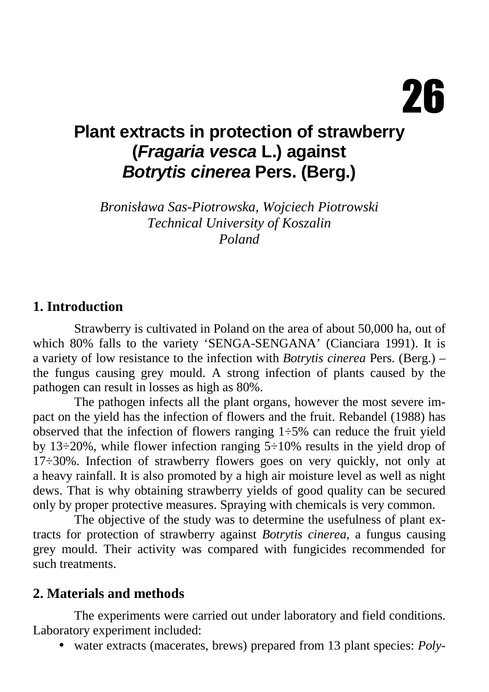# **Plant extracts in protection of strawberry (Fragaria vesca L.) against Botrytis cinerea Pers. (Berg.)**

*Bronisława Sas-Piotrowska, Wojciech Piotrowski Technical University of Koszalin Poland* 

#### **1. Introduction**

Strawberry is cultivated in Poland on the area of about 50,000 ha, out of which 80% falls to the variety 'SENGA-SENGANA' (Cianciara 1991). It is a variety of low resistance to the infection with *Botrytis cinerea* Pers. (Berg.) – the fungus causing grey mould. A strong infection of plants caused by the pathogen can result in losses as high as 80%.

The pathogen infects all the plant organs, however the most severe impact on the yield has the infection of flowers and the fruit. Rebandel (1988) has observed that the infection of flowers ranging  $1\div 5\%$  can reduce the fruit yield by 13÷20%, while flower infection ranging 5÷10% results in the yield drop of 17÷30%. Infection of strawberry flowers goes on very quickly, not only at a heavy rainfall. It is also promoted by a high air moisture level as well as night dews. That is why obtaining strawberry yields of good quality can be secured only by proper protective measures. Spraying with chemicals is very common.

The objective of the study was to determine the usefulness of plant extracts for protection of strawberry against *Botrytis cinerea*, a fungus causing grey mould. Their activity was compared with fungicides recommended for such treatments.

#### **2. Materials and methods**

 The experiments were carried out under laboratory and field conditions. Laboratory experiment included:

• water extracts (macerates, brews) prepared from 13 plant species: *Poly-*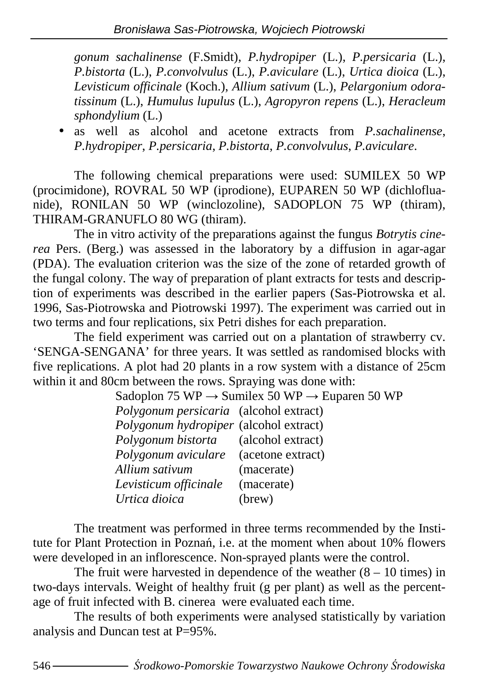*gonum sachalinense* (F.Smidt), *P.hydropiper* (L.), *P.persicaria* (L.), *P.bistorta* (L.), *P.convolvulus* (L.), *P.aviculare* (L.), *Urtica dioica* (L.), *Levisticum officinale* (Koch.), *Allium sativum* (L.), *Pelargonium odoratissinum* (L.), *Humulus lupulus* (L.), *Agropyron repens* (L.), *Heracleum sphondylium* (L.)

• as well as alcohol and acetone extracts from *P.sachalinense*, *P.hydropiper*, *P.persicaria*, *P.bistorta*, *P.convolvulus*, *P.aviculare*.

The following chemical preparations were used: SUMILEX 50 WP (procimidone), ROVRAL 50 WP (iprodione), EUPAREN 50 WP (dichlofluanide), RONILAN 50 WP (winclozoline), SADOPLON 75 WP (thiram), THIRAM-GRANUFLO 80 WG (thiram).

The in vitro activity of the preparations against the fungus *Botrytis cinerea* Pers. (Berg.) was assessed in the laboratory by a diffusion in agar-agar (PDA). The evaluation criterion was the size of the zone of retarded growth of the fungal colony. The way of preparation of plant extracts for tests and description of experiments was described in the earlier papers (Sas-Piotrowska et al. 1996, Sas-Piotrowska and Piotrowski 1997). The experiment was carried out in two terms and four replications, six Petri dishes for each preparation.

The field experiment was carried out on a plantation of strawberry cv. 'SENGA-SENGANA' for three years. It was settled as randomised blocks with five replications. A plot had 20 plants in a row system with a distance of 25cm within it and 80cm between the rows. Spraying was done with:

| Sadoplon 75 WP $\rightarrow$ Sumilex 50 WP $\rightarrow$ Euparen 50 WP |            |  |  |  |
|------------------------------------------------------------------------|------------|--|--|--|
| Polygonum persicaria (alcohol extract)                                 |            |  |  |  |
| Polygonum hydropiper (alcohol extract)                                 |            |  |  |  |
| <i>Polygonum bistorta</i> (alcohol extract)                            |            |  |  |  |
| Polygonum aviculare (acetone extract)                                  |            |  |  |  |
| Allium sativum                                                         | (macerate) |  |  |  |
| Levisticum officinale                                                  | (macerate) |  |  |  |
| Urtica dioica                                                          | (brew)     |  |  |  |

 The treatment was performed in three terms recommended by the Institute for Plant Protection in Poznań, i.e. at the moment when about 10% flowers were developed in an inflorescence. Non-sprayed plants were the control.

The fruit were harvested in dependence of the weather  $(8 - 10)$  times) in two-days intervals. Weight of healthy fruit (g per plant) as well as the percentage of fruit infected with B. cinerea were evaluated each time.

The results of both experiments were analysed statistically by variation analysis and Duncan test at P=95%.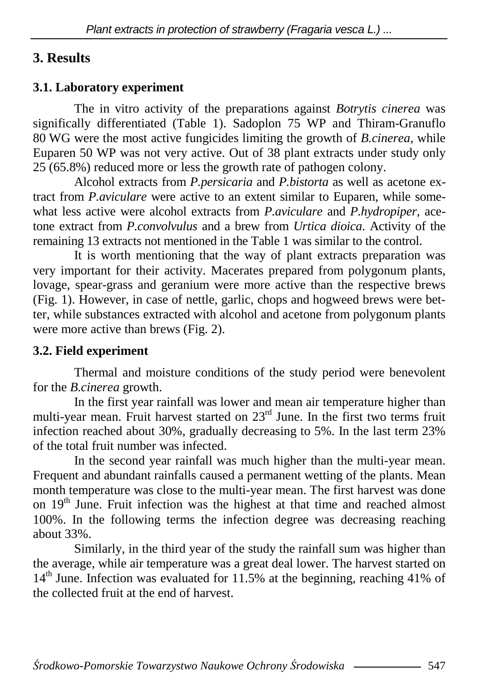# **3. Results**

### **3.1. Laboratory experiment**

The in vitro activity of the preparations against *Botrytis cinerea* was significally differentiated (Table 1). Sadoplon 75 WP and Thiram-Granuflo 80 WG were the most active fungicides limiting the growth of *B.cinerea*, while Euparen 50 WP was not very active. Out of 38 plant extracts under study only  $25(65.8\%)$  reduced more or less the growth rate of pathogen colony.

Alcohol extracts from *P.persicaria* and *P.bistorta* as well as acetone extract from *P.aviculare* were active to an extent similar to Euparen, while somewhat less active were alcohol extracts from *P.aviculare* and *P.hydropiper*, acetone extract from *P.convolvulus* and a brew from *Urtica dioica*. Activity of the remaining 13 extracts not mentioned in the Table 1 was similar to the control.

 It is worth mentioning that the way of plant extracts preparation was very important for their activity. Macerates prepared from polygonum plants, lovage, spear-grass and geranium were more active than the respective brews (Fig. 1). However, in case of nettle, garlic, chops and hogweed brews were better, while substances extracted with alcohol and acetone from polygonum plants were more active than brews (Fig. 2).

### **3.2. Field experiment**

 Thermal and moisture conditions of the study period were benevolent for the *B.cinerea* growth.

In the first year rainfall was lower and mean air temperature higher than multi-year mean. Fruit harvest started on 23<sup>rd</sup> June. In the first two terms fruit infection reached about 30%, gradually decreasing to 5%. In the last term 23% of the total fruit number was infected.

In the second year rainfall was much higher than the multi-year mean. Frequent and abundant rainfalls caused a permanent wetting of the plants. Mean month temperature was close to the multi-year mean. The first harvest was done on  $19<sup>th</sup>$  June. Fruit infection was the highest at that time and reached almost 100%. In the following terms the infection degree was decreasing reaching about 33%.

Similarly, in the third year of the study the rainfall sum was higher than the average, while air temperature was a great deal lower. The harvest started on  $14<sup>th</sup>$  June. Infection was evaluated for 11.5% at the beginning, reaching 41% of the collected fruit at the end of harvest.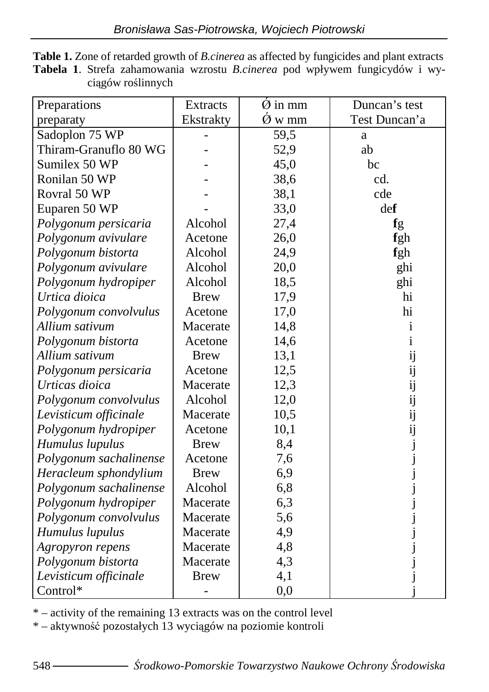| Preparations           | <b>Extracts</b> | $\dot{\varnothing}$ in mm | Duncan's test |
|------------------------|-----------------|---------------------------|---------------|
| preparaty              | Ekstrakty       | $\dot{\text{O}}$ w mm     | Test Duncan'a |
| Sadoplon 75 WP         |                 | 59,5                      | a             |
| Thiram-Granuflo 80 WG  |                 | 52,9                      | ab            |
| Sumilex 50 WP          |                 | 45,0                      | bc            |
| Ronilan 50 WP          |                 | 38,6                      | cd.           |
| Rovral 50 WP           |                 | 38,1                      | cde           |
| Euparen 50 WP          |                 | 33,0                      | def           |
| Polygonum persicaria   | Alcohol         | 27,4                      | fg            |
| Polygonum avivulare    | Acetone         | 26,0                      | fgh           |
| Polygonum bistorta     | Alcohol         | 24,9                      | fgh           |
| Polygonum avivulare    | Alcohol         | 20,0                      | ghi           |
| Polygonum hydropiper   | Alcohol         | 18,5                      | ghi           |
| Urtica dioica          | <b>Brew</b>     | 17,9                      | hi            |
| Polygonum convolvulus  | Acetone         | 17,0                      | hi            |
| Allium sativum         | Macerate        | 14,8                      | 1             |
| Polygonum bistorta     | Acetone         | 14,6                      | 1             |
| Allium sativum         | <b>Brew</b>     | 13,1                      |               |
| Polygonum persicaria   | Acetone         | 12,5                      |               |
| Urticas dioica         | Macerate        | 12,3                      |               |
| Polygonum convolvulus  | Alcohol         | 12,0                      |               |
| Levisticum officinale  | Macerate        | 10,5                      |               |
| Polygonum hydropiper   | Acetone         | 10,1                      |               |
| Humulus lupulus        | <b>Brew</b>     | 8,4                       |               |
| Polygonum sachalinense | Acetone         | 7,6                       |               |
| Heracleum sphondylium  | <b>Brew</b>     | 6,9                       |               |
| Polygonum sachalinense | Alcohol         | 6,8                       |               |
| Polygonum hydropiper   | Macerate        | 6,3                       |               |
| Polygonum convolvulus  | Macerate        | 5,6                       |               |
| Humulus lupulus        | Macerate        | 4,9                       |               |
| Agropyron repens       | Macerate        | 4,8                       |               |
| Polygonum bistorta     | Macerate        | 4,3                       |               |
| Levisticum officinale  | <b>Brew</b>     | 4,1                       |               |
| Control*               |                 | 0,0                       |               |

**Table 1.** Zone of retarded growth of *B.cinerea* as affected by fungicides and plant extracts **Tabela 1**. Strefa zahamowania wzrostu *B.cinerea* pod wpływem fungicydów i wyciągów roślinnych

\* – activity of the remaining 13 extracts was on the control level

\* – aktywność pozostałych 13 wyciągów na poziomie kontroli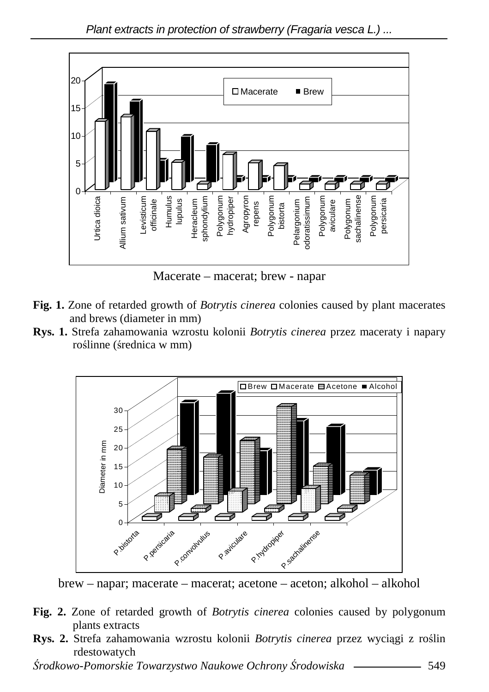

Macerate – macerat; brew - napar

- **Fig. 1.** Zone of retarded growth of *Botrytis cinerea* colonies caused by plant macerates and brews (diameter in mm)
- **Rys. 1.** Strefa zahamowania wzrostu kolonii *Botrytis cinerea* przez maceraty i napary roślinne (średnica w mm)



brew – napar; macerate – macerat; acetone – aceton; alkohol – alkohol

- **Fig. 2.** Zone of retarded growth of *Botrytis cinerea* colonies caused by polygonum plants extracts
- **Rys. 2.** Strefa zahamowania wzrostu kolonii *Botrytis cinerea* przez wyciągi z roślin rdestowatych

Ś*rodkowo-Pomorskie Towarzystwo Naukowe Ochrony* Ś*rodowiska* 549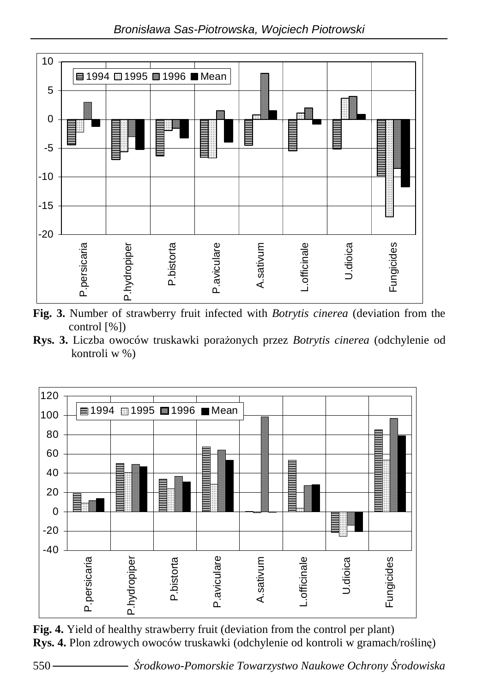

**Fig. 3.** Number of strawberry fruit infected with *Botrytis cinerea* (deviation from the control [%])

Rys. 3. Liczba owoców truskawki porażonych przez *Botrytis cinerea* (odchylenie od kontroli w %)



**Fig. 4.** Yield of healthy strawberry fruit (deviation from the control per plant) **Rys. 4.** Plon zdrowych owoców truskawki (odchylenie od kontroli w gramach/roślinę)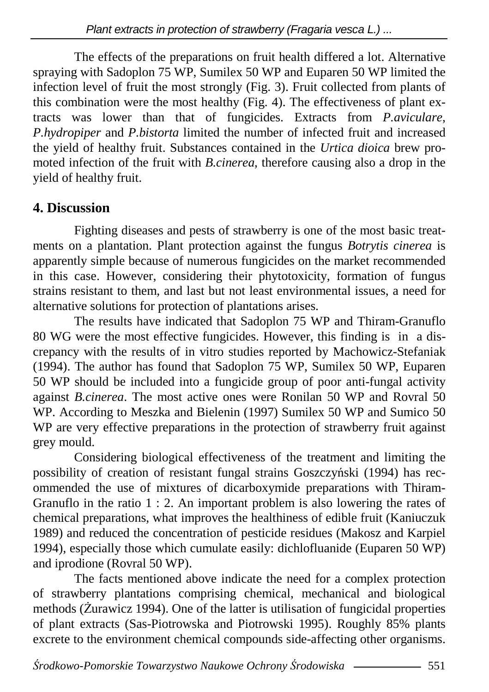The effects of the preparations on fruit health differed a lot. Alternative spraying with Sadoplon  $75 \text{ WP}$ , Sumilex 50 WP and Euparen 50 WP limited the infection level of fruit the most strongly (Fig. 3). Fruit collected from plants of this combination were the most healthy (Fig. 4). The effectiveness of plant extracts was lower than that of fungicides. Extracts from *P.aviculare*, *P.hydropiper* and *P.bistorta* limited the number of infected fruit and increased the yield of healthy fruit. Substances contained in the *Urtica dioica* brew promoted infection of the fruit with *B.cinerea*, therefore causing also a drop in the yield of healthy fruit.

## **4. Discussion**

 Fighting diseases and pests of strawberry is one of the most basic treatments on a plantation. Plant protection against the fungus *Botrytis cinerea* is apparently simple because of numerous fungicides on the market recommended in this case. However, considering their phytotoxicity, formation of fungus strains resistant to them, and last but not least environmental issues, a need for alternative solutions for protection of plantations arises.

 The results have indicated that Sadoplon 75 WP and Thiram-Granuflo 80 WG were the most effective fungicides. However, this finding is in a discrepancy with the results of in vitro studies reported by Machowicz-Stefaniak (1994). The author has found that Sadoplon 75 WP, Sumilex 50 WP, Euparen 50 WP should be included into a fungicide group of poor anti-fungal activity against *B.cinerea*. The most active ones were Ronilan 50 WP and Rovral 50 WP. According to Meszka and Bielenin (1997) Sumilex 50 WP and Sumico 50 WP are very effective preparations in the protection of strawberry fruit against grey mould.

 Considering biological effectiveness of the treatment and limiting the possibility of creation of resistant fungal strains Goszczyński (1994) has recommended the use of mixtures of dicarboxymide preparations with Thiram-Granuflo in the ratio 1 : 2. An important problem is also lowering the rates of chemical preparations, what improves the healthiness of edible fruit (Kaniuczuk 1989) and reduced the concentration of pesticide residues (Makosz and Karpiel 1994), especially those which cumulate easily: dichlofluanide (Euparen 50 WP) and iprodione (Rovral 50 WP).

 The facts mentioned above indicate the need for a complex protection of strawberry plantations comprising chemical, mechanical and biological methods (Żurawicz 1994). One of the latter is utilisation of fungicidal properties of plant extracts (Sas-Piotrowska and Piotrowski 1995). Roughly 85% plants excrete to the environment chemical compounds side-affecting other organisms.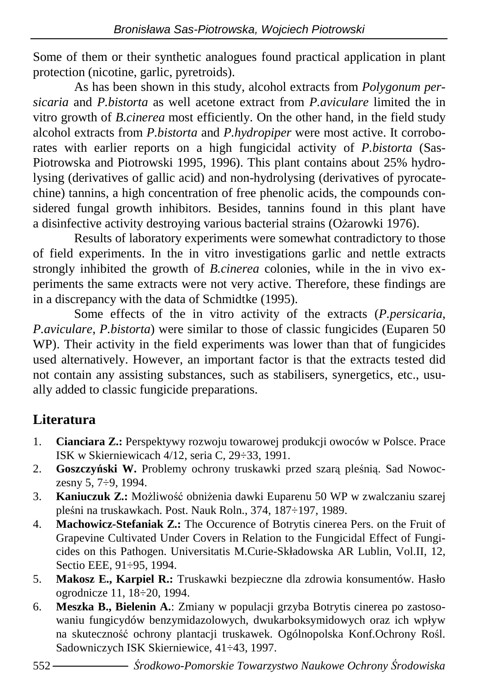Some of them or their synthetic analogues found practical application in plant protection (nicotine, garlic, pyretroids).

 As has been shown in this study, alcohol extracts from *Polygonum persicaria* and *P.bistorta* as well acetone extract from *P.aviculare* limited the in vitro growth of *B.cinerea* most efficiently. On the other hand, in the field study alcohol extracts from *P.bistorta* and *P.hydropiper* were most active. It corroborates with earlier reports on a high fungicidal activity of *P.bistorta* (Sas-Piotrowska and Piotrowski 1995, 1996). This plant contains about 25% hydrolysing (derivatives of gallic acid) and non-hydrolysing (derivatives of pyrocatechine) tannins, a high concentration of free phenolic acids, the compounds considered fungal growth inhibitors. Besides, tannins found in this plant have a disinfective activity destroying various bacterial strains (Ożarowki 1976).

 Results of laboratory experiments were somewhat contradictory to those of field experiments. In the in vitro investigations garlic and nettle extracts strongly inhibited the growth of *B.cinerea* colonies, while in the in vivo experiments the same extracts were not very active. Therefore, these findings are in a discrepancy with the data of Schmidtke (1995).

 Some effects of the in vitro activity of the extracts (*P.persicaria*, *P.aviculare*, *P.bistorta*) were similar to those of classic fungicides (Euparen 50 WP). Their activity in the field experiments was lower than that of fungicides used alternatively. However, an important factor is that the extracts tested did not contain any assisting substances, such as stabilisers, synergetics, etc., usually added to classic fungicide preparations.

# **Literatura**

- 1. **Cianciara Z.:** Perspektywy rozwoju towarowej produkcji owoców w Polsce. Prace ISK w Skierniewicach 4/12, seria C, 29÷33, 1991.
- 2. **Goszczy**ń**ski W.** Problemy ochrony truskawki przed szarą pleśnią. Sad Nowoczesny 5, 7÷9, 1994.
- 3. **Kaniuczuk Z.:** Możliwość obniżenia dawki Euparenu 50 WP w zwalczaniu szarej pleśni na truskawkach. Post. Nauk Roln., 374, 187÷197, 1989.
- 4. **Machowicz-Stefaniak Z.:** The Occurence of Botrytis cinerea Pers. on the Fruit of Grapevine Cultivated Under Covers in Relation to the Fungicidal Effect of Fungicides on this Pathogen. Universitatis M.Curie-Składowska AR Lublin, Vol.II, 12, Sectio EEE, 91÷95, 1994.
- 5. **Makosz E., Karpiel R.:** Truskawki bezpieczne dla zdrowia konsumentów. Hasło ogrodnicze 11, 18÷20, 1994.
- 6. **Meszka B., Bielenin A.**: Zmiany w populacji grzyba Botrytis cinerea po zastosowaniu fungicydów benzymidazolowych, dwukarboksymidowych oraz ich wpływ na skuteczność ochrony plantacji truskawek. Ogólnopolska Konf.Ochrony Rośl. Sadowniczych ISK Skierniewice, 41÷43, 1997.
- 552 Ś*rodkowo-Pomorskie Towarzystwo Naukowe Ochrony* Ś*rodowiska*